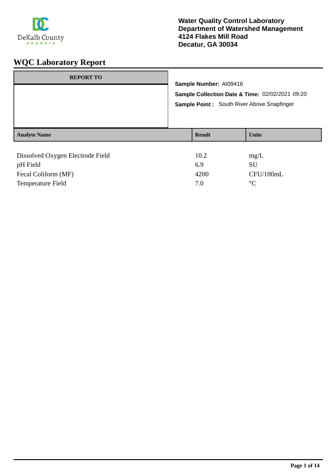

| <b>REPORT TO</b>                 | Sample Number: AI09416                     |                                                 |
|----------------------------------|--------------------------------------------|-------------------------------------------------|
|                                  |                                            | Sample Collection Date & Time: 02/02/2021 09:20 |
|                                  | Sample Point: South River Above Snapfinger |                                                 |
|                                  |                                            |                                                 |
| <b>Analyte Name</b>              | <b>Result</b>                              | <b>Units</b>                                    |
|                                  |                                            |                                                 |
| Dissolved Oxygen Electrode Field | 10.2                                       | mg/L                                            |
| pH Field                         | 6.9                                        | SU                                              |
| Fecal Coliform (MF)              | 4200                                       | CFU/100mL                                       |

Temperature Field  $7.0$  °C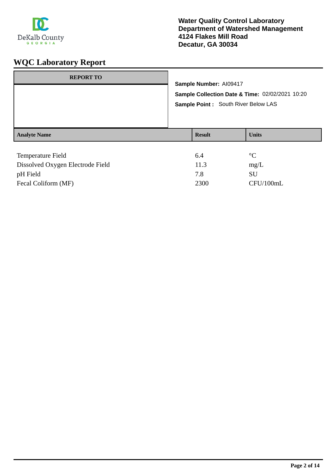

| <b>REPORT TO</b>    | Sample Number: AI09417<br>Sample Point: South River Below LAS | Sample Collection Date & Time: 02/02/2021 10:20 |
|---------------------|---------------------------------------------------------------|-------------------------------------------------|
| <b>Analyte Name</b> | <b>Result</b>                                                 | <b>Units</b>                                    |
| Temperature Field   | 6.4                                                           | $\rm ^{\circ}C$                                 |

| Dissolved Oxygen Electrode Field | 11.3 | mg/L      |
|----------------------------------|------|-----------|
| pH Field                         | 7 R  | SU        |
| Fecal Coliform (MF)              | 2300 | CFU/100mL |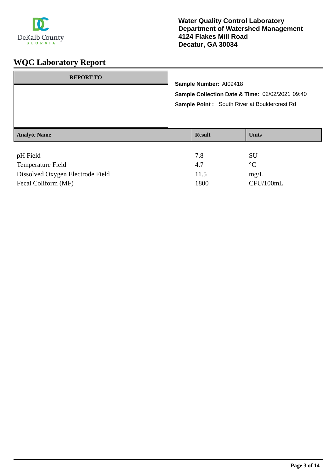

| <b>REPORT TO</b>    | Sample Number: AI09418 | Sample Collection Date & Time: 02/02/2021 09:40<br><b>Sample Point:</b> South River at Bouldercrest Rd |
|---------------------|------------------------|--------------------------------------------------------------------------------------------------------|
| <b>Analyte Name</b> | <b>Result</b>          | <b>Units</b>                                                                                           |
| pH Field            | 7.8                    | SU                                                                                                     |

| Temperature Field                |      | $\circ$ $\cap$ |
|----------------------------------|------|----------------|
| Dissolved Oxygen Electrode Field | 11.5 | mg/L           |
| Fecal Coliform (MF)              | 1800 | CFU/100mL      |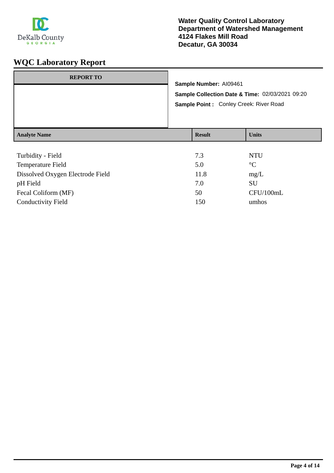

| <b>REPORT TO</b>    | Sample Number: AI09461<br>Sample Point: Conley Creek: River Road | Sample Collection Date & Time: 02/03/2021 09:20 |
|---------------------|------------------------------------------------------------------|-------------------------------------------------|
| <b>Analyte Name</b> | <b>Result</b>                                                    | <b>Units</b>                                    |
|                     |                                                                  |                                                 |

| Turbidity - Field                | 7.3  | <b>NTU</b>      |
|----------------------------------|------|-----------------|
| <b>Temperature Field</b>         | 5.0  | $\rm ^{\circ}C$ |
| Dissolved Oxygen Electrode Field | 11.8 | mg/L            |
| pH Field                         | 7.0  | SU              |
| Fecal Coliform (MF)              | 50   | CFU/100mL       |
| <b>Conductivity Field</b>        | 150  | umhos           |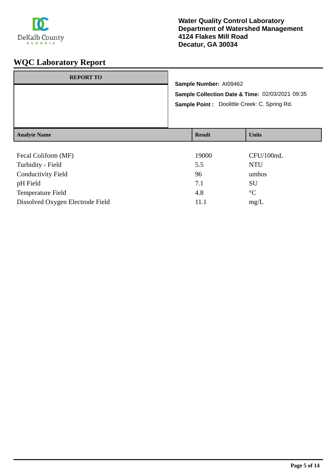

| <b>REPORT TO</b>    |                        |                                                 |
|---------------------|------------------------|-------------------------------------------------|
|                     | Sample Number: AI09462 |                                                 |
|                     |                        | Sample Collection Date & Time: 02/03/2021 09:35 |
|                     |                        | Sample Point : Doolittle Creek: C. Spring Rd.   |
| <b>Analyte Name</b> | <b>Result</b>          | <b>Units</b>                                    |
| Fecal Coliform (MF) | 19000                  | CFU/100mL                                       |
| Turbidity - Field   | 55                     | NTI J                                           |

| Turbidity - Field                | 5.5  | NTU       |
|----------------------------------|------|-----------|
| <b>Conductivity Field</b>        | 96   | umhos     |
| pH Field                         | 7.1  | SU        |
| Temperature Field                | 4.8  | $\circ$ C |
| Dissolved Oxygen Electrode Field | 11.1 | mg/L      |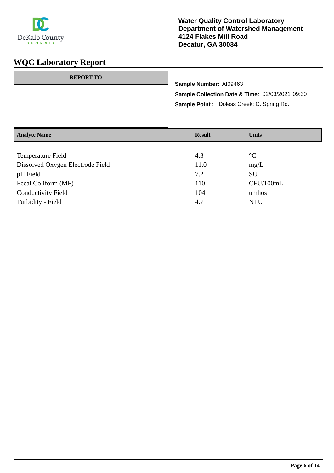

| <b>REPORT TO</b>    | Sample Number: Al09463<br>Sample Point : Doless Creek: C. Spring Rd. | Sample Collection Date & Time: 02/03/2021 09:30 |
|---------------------|----------------------------------------------------------------------|-------------------------------------------------|
| <b>Analyte Name</b> | <b>Result</b>                                                        | <b>Units</b>                                    |

| Temperature Field                | 4.3  | $\rm ^{\circ}C$ |
|----------------------------------|------|-----------------|
| Dissolved Oxygen Electrode Field | 11.0 | mg/L            |
| pH Field                         | 7.2  | SU              |
| Fecal Coliform (MF)              | 110  | CFU/100mL       |
| <b>Conductivity Field</b>        | 104  | umhos           |
| Turbidity - Field                | 4.7  | <b>NTU</b>      |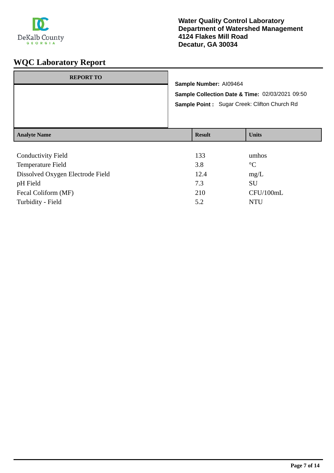

|                                                      |  | Sample Point: Sugar Creek: Clifton Church Rd |
|------------------------------------------------------|--|----------------------------------------------|
| <b>Units</b><br><b>Result</b><br><b>Analyte Name</b> |  |                                              |

| <b>Conductivity Field</b>        | 133  | umhos           |
|----------------------------------|------|-----------------|
| <b>Temperature Field</b>         | 3.8  | $\rm ^{\circ}C$ |
| Dissolved Oxygen Electrode Field | 12.4 | mg/L            |
| pH Field                         | 7.3  | SU              |
| Fecal Coliform (MF)              | 210  | CFU/100mL       |
| Turbidity - Field                | 5.2  | <b>NTU</b>      |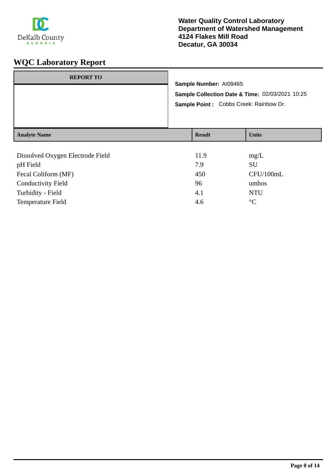

| <b>Analyte Name</b> |                                                                                                                      | <b>Result</b> | <b>Units</b> |
|---------------------|----------------------------------------------------------------------------------------------------------------------|---------------|--------------|
|                     | Sample Number: AI09465<br>Sample Collection Date & Time: 02/03/2021 10:25<br>Sample Point : Cobbs Creek: Rainbow Dr. |               |              |
| <b>REPORT TO</b>    |                                                                                                                      |               |              |

| 11.9 | mg/L            |
|------|-----------------|
| 7.9  | SU              |
| 450  | CFU/100mL       |
| 96   | umhos           |
| 4.1  | <b>NTU</b>      |
| 4.6  | $\rm ^{\circ}C$ |
|      |                 |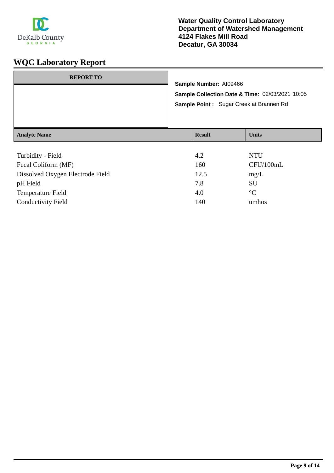

| <b>REPORT TO</b>    | Sample Number: AI09466<br>Sample Point: Sugar Creek at Brannen Rd | Sample Collection Date & Time: 02/03/2021 10:05 |
|---------------------|-------------------------------------------------------------------|-------------------------------------------------|
| <b>Analyte Name</b> | <b>Result</b>                                                     | <b>Units</b>                                    |

| Turbidity - Field                | 4.2  | <b>NTU</b>      |
|----------------------------------|------|-----------------|
| Fecal Coliform (MF)              | 160  | CFU/100mL       |
| Dissolved Oxygen Electrode Field | 12.5 | mg/L            |
| pH Field                         | 7.8  | <b>SU</b>       |
| <b>Temperature Field</b>         | 4.0  | $\rm ^{\circ}C$ |
| <b>Conductivity Field</b>        | 140  | umhos           |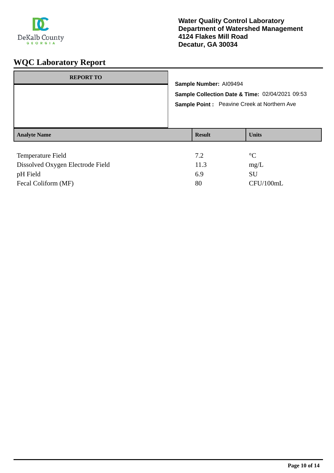

| <b>REPORT TO</b>         | Sample Number: AI09494<br>Sample Point : Peavine Creek at Northern Ave | Sample Collection Date & Time: 02/04/2021 09:53 |
|--------------------------|------------------------------------------------------------------------|-------------------------------------------------|
| <b>Analyte Name</b>      | <b>Result</b>                                                          | <b>Units</b>                                    |
| <b>Temperature Field</b> | 7.2                                                                    | $^{\circ}C$                                     |

| Dissolved Oxygen Electrode Field | 11.3 | mg/L      |
|----------------------------------|------|-----------|
| pH Field                         | -6.9 | SU        |
| Fecal Coliform (MF)              | 80   | CFU/100mL |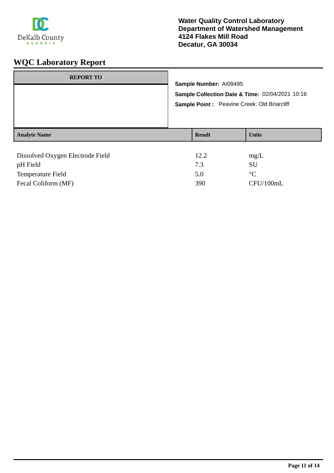

| <b>REPORT TO</b>                                     | Sample Number: AI09495                                                                          |  |                              |
|------------------------------------------------------|-------------------------------------------------------------------------------------------------|--|------------------------------|
|                                                      | Sample Collection Date & Time: 02/04/2021 10:16<br>Sample Point : Peavine Creek: Old Briarcliff |  |                              |
| <b>Analyte Name</b>                                  | <b>Result</b>                                                                                   |  | <b>Units</b>                 |
| Dissolved Oxygen Electrode Field<br><b>TT THE 11</b> | 12.2<br>$\sim$                                                                                  |  | mg/L<br>$\sim$ $\sim$ $\sim$ |

| pH Field                 |     | SU             |
|--------------------------|-----|----------------|
| <b>Temperature Field</b> |     | $\circ$ $\sim$ |
| Fecal Coliform (MF)      | 390 | CFU/100mL      |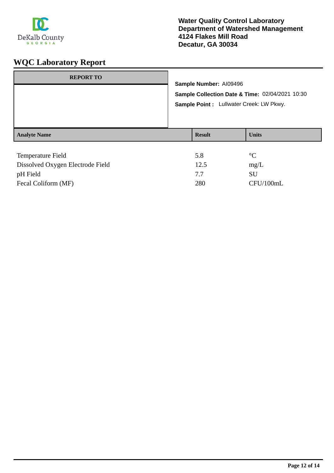

| <b>REPORT TO</b>    | Sample Number: Al09496<br>Sample Point : Lullwater Creek: LW Pkwy. | Sample Collection Date & Time: 02/04/2021 10:30 |
|---------------------|--------------------------------------------------------------------|-------------------------------------------------|
| <b>Analyte Name</b> | <b>Result</b>                                                      | <b>Units</b>                                    |
| Tampang terma Eight | $\epsilon$ o                                                       | $\Omega$                                        |

| Temperature Field                | 5.8  |           |
|----------------------------------|------|-----------|
| Dissolved Oxygen Electrode Field | 12.5 | mg/L      |
| pH Field                         | 77   | SU        |
| Fecal Coliform (MF)              | 280  | CFU/100mL |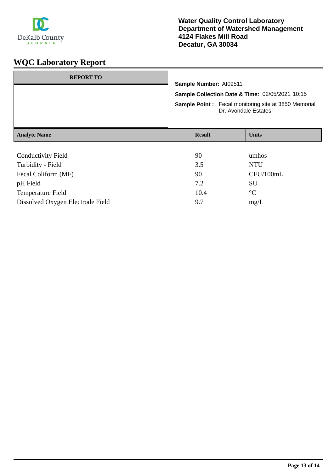

| <b>REPORT TO</b>          |                                                                                                                                                                  |               |                      |
|---------------------------|------------------------------------------------------------------------------------------------------------------------------------------------------------------|---------------|----------------------|
|                           | Sample Number: AI09511<br>Sample Collection Date & Time: 02/05/2021 10:15<br><b>Sample Point:</b> Fecal monitoring site at 3850 Memorial<br>Dr. Avondale Estates |               |                      |
|                           |                                                                                                                                                                  |               |                      |
|                           |                                                                                                                                                                  |               |                      |
| <b>Analyte Name</b>       |                                                                                                                                                                  | <b>Result</b> | <b>Units</b>         |
|                           |                                                                                                                                                                  |               |                      |
| <b>Conductivity Field</b> |                                                                                                                                                                  | 90            | umhos                |
| Turbidity - Field         |                                                                                                                                                                  | 3.5           | <b>NTU</b>           |
| Fecal Coliform (MF)       |                                                                                                                                                                  | 90            | CFU/100mL            |
| <b>TT THE 11</b>          |                                                                                                                                                                  | - -           | $\sim$ $\sim$ $\sim$ |

| pH Field                         |      | SU          |
|----------------------------------|------|-------------|
| Temperature Field                | 10.4 | $^{\circ}C$ |
| Dissolved Oxygen Electrode Field | Q 7  | mg/L        |